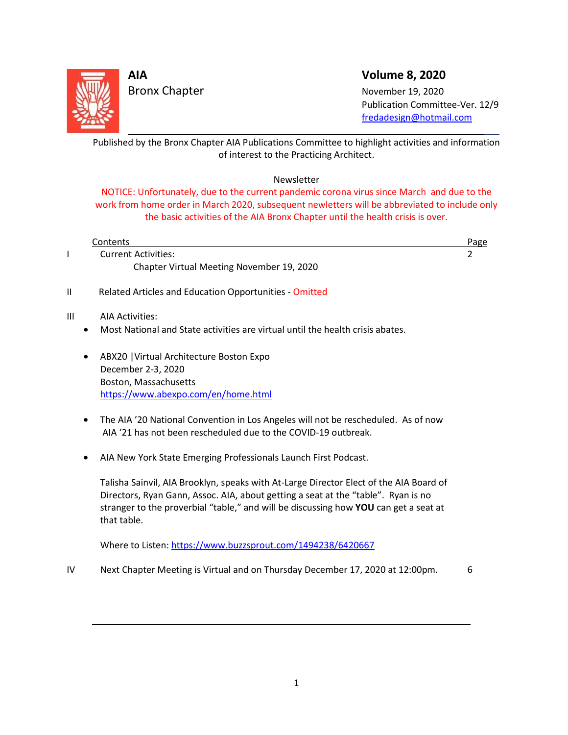

## **AIA Volume 8, 2020**

Bronx Chapter November 19, 2020 Publication Committee-Ver. 12/9 [fredadesign@hotmail.com](mailto:fredadesign@hotmail.com)

Published by the Bronx Chapter AIA Publications Committee to highlight activities and information of interest to the Practicing Architect. L

### Newsletter

NOTICE: Unfortunately, due to the current pandemic corona virus since March and due to the work from home order in March 2020, subsequent newletters will be abbreviated to include only the basic activities of the AIA Bronx Chapter until the health crisis is over.

| Contents                                  | Page |
|-------------------------------------------|------|
| <b>Current Activities:</b>                |      |
| Chapter Virtual Meeting November 19, 2020 |      |
|                                           |      |

II Related Articles and Education Opportunities - Omitted

#### III AIA Activities:

 $\overline{a}$ 

- Most National and State activities are virtual until the health crisis abates.
- ABX20 |Virtual Architecture Boston Expo December 2-3, 2020 Boston, Massachusetts <https://www.abexpo.com/en/home.html>
- The AIA '20 National Convention in Los Angeles will not be rescheduled. As of now AIA '21 has not been rescheduled due to the COVID-19 outbreak.
- AIA New York State Emerging Professionals Launch First Podcast.

Talisha Sainvil, AIA Brooklyn, speaks with At-Large Director Elect of the AIA Board of Directors, Ryan Gann, Assoc. AIA, about getting a seat at the "table". Ryan is no stranger to the proverbial "table," and will be discussing how **YOU** can get a seat at that table.

Where to Listen[: https://www.buzzsprout.com/1494238/6420667](https://www.buzzsprout.com/1494238/6420667)

IV Next Chapter Meeting is Virtual and on Thursday December 17, 2020 at 12:00pm. 6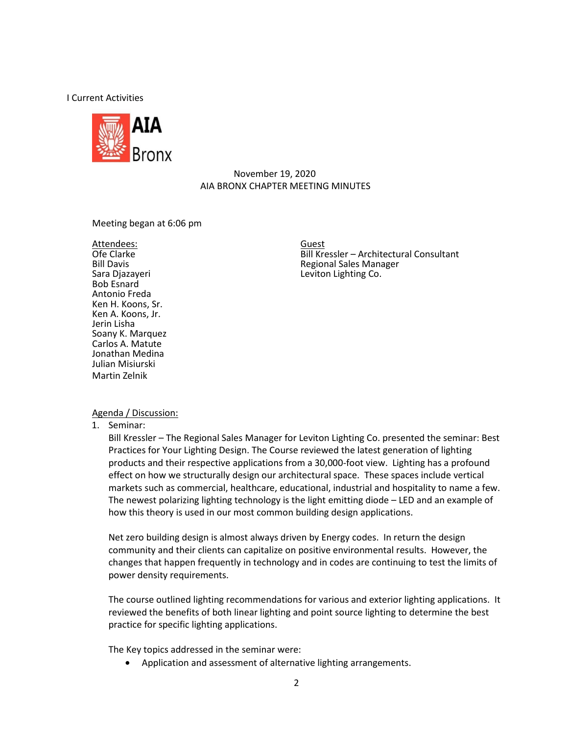I Current Activities



### November 19, 2020 AIA BRONX CHAPTER MEETING MINUTES

Meeting began at 6:06 pm

Attendees:<br>Ofe Clarke Bob Esnard Antonio Freda Ken H. Koons, Sr. Ken A. Koons, Jr. Jerin Lisha Soany K. Marquez Carlos A. Matute Jonathan Medina Julian Misiurski Martin Zelnik

Ofe Clarke **Consultant** Bill Kressler – Architectural Consultant<br>Bill Davis **Bill Consultant** Regional Sales Manager Guest Bill Davis **Exercise Sales Manager**<br>
Sara Diazayeri **Nanager Sara Diazayeri** Co. Leviton Lighting Co.

#### Agenda / Discussion:

1. Seminar:

Bill Kressler – The Regional Sales Manager for Leviton Lighting Co. presented the seminar: Best Practices for Your Lighting Design. The Course reviewed the latest generation of lighting products and their respective applications from a 30,000-foot view. Lighting has a profound effect on how we structurally design our architectural space. These spaces include vertical markets such as commercial, healthcare, educational, industrial and hospitality to name a few. The newest polarizing lighting technology is the light emitting diode – LED and an example of how this theory is used in our most common building design applications.

Net zero building design is almost always driven by Energy codes. In return the design community and their clients can capitalize on positive environmental results. However, the changes that happen frequently in technology and in codes are continuing to test the limits of power density requirements.

The course outlined lighting recommendations for various and exterior lighting applications. It reviewed the benefits of both linear lighting and point source lighting to determine the best practice for specific lighting applications.

The Key topics addressed in the seminar were:

• Application and assessment of alternative lighting arrangements.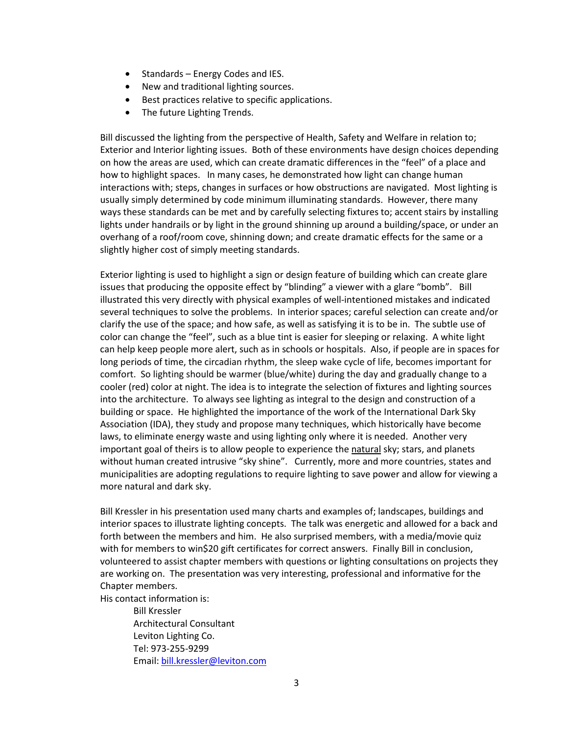- Standards Energy Codes and IES.
- New and traditional lighting sources.
- Best practices relative to specific applications.
- The future Lighting Trends.

Bill discussed the lighting from the perspective of Health, Safety and Welfare in relation to; Exterior and Interior lighting issues. Both of these environments have design choices depending on how the areas are used, which can create dramatic differences in the "feel" of a place and how to highlight spaces. In many cases, he demonstrated how light can change human interactions with; steps, changes in surfaces or how obstructions are navigated. Most lighting is usually simply determined by code minimum illuminating standards. However, there many ways these standards can be met and by carefully selecting fixtures to; accent stairs by installing lights under handrails or by light in the ground shinning up around a building/space, or under an overhang of a roof/room cove, shinning down; and create dramatic effects for the same or a slightly higher cost of simply meeting standards.

Exterior lighting is used to highlight a sign or design feature of building which can create glare issues that producing the opposite effect by "blinding" a viewer with a glare "bomb". Bill illustrated this very directly with physical examples of well-intentioned mistakes and indicated several techniques to solve the problems. In interior spaces; careful selection can create and/or clarify the use of the space; and how safe, as well as satisfying it is to be in. The subtle use of color can change the "feel", such as a blue tint is easier for sleeping or relaxing. A white light can help keep people more alert, such as in schools or hospitals. Also, if people are in spaces for long periods of time, the circadian rhythm, the sleep wake cycle of life, becomes important for comfort. So lighting should be warmer (blue/white) during the day and gradually change to a cooler (red) color at night. The idea is to integrate the selection of fixtures and lighting sources into the architecture. To always see lighting as integral to the design and construction of a building or space. He highlighted the importance of the work of the International Dark Sky Association (IDA), they study and propose many techniques, which historically have become laws, to eliminate energy waste and using lighting only where it is needed. Another very important goal of theirs is to allow people to experience the natural sky; stars, and planets without human created intrusive "sky shine". Currently, more and more countries, states and municipalities are adopting regulations to require lighting to save power and allow for viewing a more natural and dark sky.

Bill Kressler in his presentation used many charts and examples of; landscapes, buildings and interior spaces to illustrate lighting concepts. The talk was energetic and allowed for a back and forth between the members and him. He also surprised members, with a media/movie quiz with for members to win\$20 gift certificates for correct answers. Finally Bill in conclusion, volunteered to assist chapter members with questions or lighting consultations on projects they are working on. The presentation was very interesting, professional and informative for the Chapter members.

His contact information is:

Bill Kressler Architectural Consultant Leviton Lighting Co. Tel: 973-255-9299 Email: [bill.kressler@leviton.com](mailto:bill.kressler@leviton.com)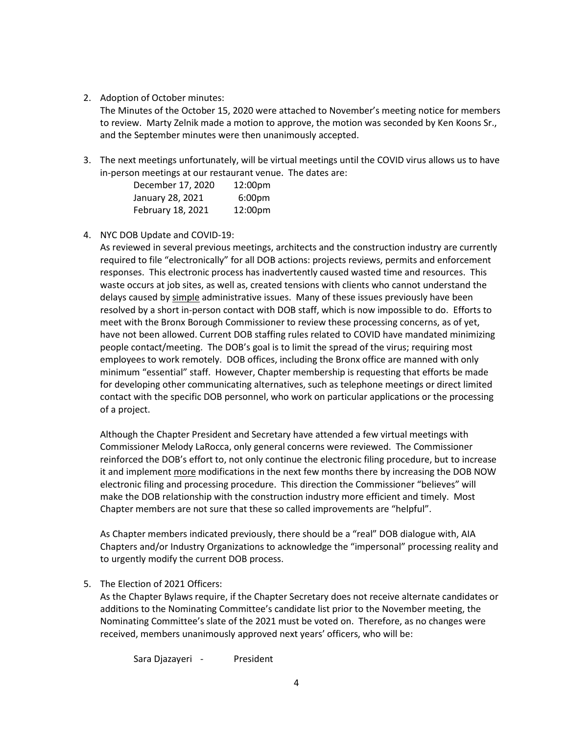#### 2. Adoption of October minutes:

The Minutes of the October 15, 2020 were attached to November's meeting notice for members to review. Marty Zelnik made a motion to approve, the motion was seconded by Ken Koons Sr., and the September minutes were then unanimously accepted.

3. The next meetings unfortunately, will be virtual meetings until the COVID virus allows us to have in-person meetings at our restaurant venue. The dates are:

| December 17, 2020 | 12:00pm            |
|-------------------|--------------------|
| January 28, 2021  | 6:00 <sub>pm</sub> |
| February 18, 2021 | 12:00pm            |

4. NYC DOB Update and COVID-19:

As reviewed in several previous meetings, architects and the construction industry are currently required to file "electronically" for all DOB actions: projects reviews, permits and enforcement responses. This electronic process has inadvertently caused wasted time and resources. This waste occurs at job sites, as well as, created tensions with clients who cannot understand the delays caused by simple administrative issues. Many of these issues previously have been resolved by a short in-person contact with DOB staff, which is now impossible to do. Efforts to meet with the Bronx Borough Commissioner to review these processing concerns, as of yet, have not been allowed. Current DOB staffing rules related to COVID have mandated minimizing people contact/meeting. The DOB's goal is to limit the spread of the virus; requiring most employees to work remotely. DOB offices, including the Bronx office are manned with only minimum "essential" staff. However, Chapter membership is requesting that efforts be made for developing other communicating alternatives, such as telephone meetings or direct limited contact with the specific DOB personnel, who work on particular applications or the processing of a project.

Although the Chapter President and Secretary have attended a few virtual meetings with Commissioner Melody LaRocca, only general concerns were reviewed. The Commissioner reinforced the DOB's effort to, not only continue the electronic filing procedure, but to increase it and implement more modifications in the next few months there by increasing the DOB NOW electronic filing and processing procedure. This direction the Commissioner "believes" will make the DOB relationship with the construction industry more efficient and timely. Most Chapter members are not sure that these so called improvements are "helpful".

As Chapter members indicated previously, there should be a "real" DOB dialogue with, AIA Chapters and/or Industry Organizations to acknowledge the "impersonal" processing reality and to urgently modify the current DOB process.

5. The Election of 2021 Officers:

As the Chapter Bylaws require, if the Chapter Secretary does not receive alternate candidates or additions to the Nominating Committee's candidate list prior to the November meeting, the Nominating Committee's slate of the 2021 must be voted on. Therefore, as no changes were received, members unanimously approved next years' officers, who will be:

Sara Djazayeri - President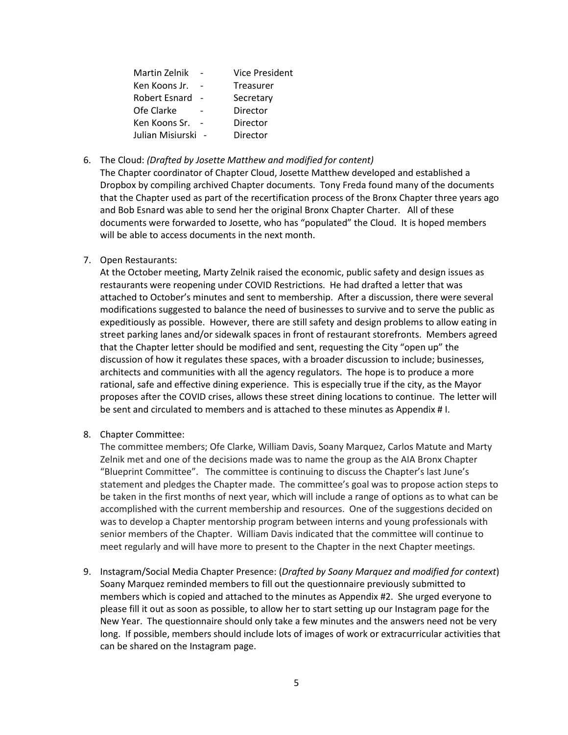| Martin Zelnik    | <b>Vice President</b> |
|------------------|-----------------------|
| Ken Koons Jr.    | <b>Treasurer</b>      |
| Robert Esnard    | Secretary             |
| Ofe Clarke       | Director              |
| Ken Koons Sr.    | Director              |
| Julian Misiurski | Director              |

#### 6. The Cloud: *(Drafted by Josette Matthew and modified for content)*

The Chapter coordinator of Chapter Cloud, Josette Matthew developed and established a Dropbox by compiling archived Chapter documents. Tony Freda found many of the documents that the Chapter used as part of the recertification process of the Bronx Chapter three years ago and Bob Esnard was able to send her the original Bronx Chapter Charter. All of these documents were forwarded to Josette, who has "populated" the Cloud. It is hoped members will be able to access documents in the next month.

7. Open Restaurants:

At the October meeting, Marty Zelnik raised the economic, public safety and design issues as restaurants were reopening under COVID Restrictions. He had drafted a letter that was attached to October's minutes and sent to membership. After a discussion, there were several modifications suggested to balance the need of businesses to survive and to serve the public as expeditiously as possible. However, there are still safety and design problems to allow eating in street parking lanes and/or sidewalk spaces in front of restaurant storefronts. Members agreed that the Chapter letter should be modified and sent, requesting the City "open up" the discussion of how it regulates these spaces, with a broader discussion to include; businesses, architects and communities with all the agency regulators. The hope is to produce a more rational, safe and effective dining experience. This is especially true if the city, as the Mayor proposes after the COVID crises, allows these street dining locations to continue. The letter will be sent and circulated to members and is attached to these minutes as Appendix # I.

8. Chapter Committee:

The committee members; Ofe Clarke, William Davis, Soany Marquez, Carlos Matute and Marty Zelnik met and one of the decisions made was to name the group as the AIA Bronx Chapter "Blueprint Committee". The committee is continuing to discuss the Chapter's last June's statement and pledges the Chapter made. The committee's goal was to propose action steps to be taken in the first months of next year, which will include a range of options as to what can be accomplished with the current membership and resources. One of the suggestions decided on was to develop a Chapter mentorship program between interns and young professionals with senior members of the Chapter. William Davis indicated that the committee will continue to meet regularly and will have more to present to the Chapter in the next Chapter meetings.

9. Instagram/Social Media Chapter Presence: (*Drafted by Soany Marquez and modified for context*) Soany Marquez reminded members to fill out the questionnaire previously submitted to members which is copied and attached to the minutes as Appendix #2. She urged everyone to please fill it out as soon as possible, to allow her to start setting up our Instagram page for the New Year. The questionnaire should only take a few minutes and the answers need not be very long. If possible, members should include lots of images of work or extracurricular activities that can be shared on the Instagram page.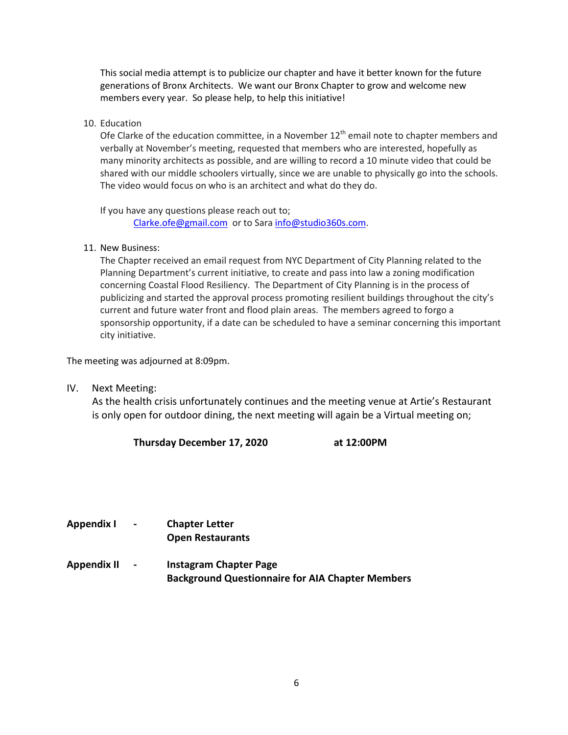This social media attempt is to publicize our chapter and have it better known for the future generations of Bronx Architects. We want our Bronx Chapter to grow and welcome new members every year. So please help, to help this initiative!

10. Education

Ofe Clarke of the education committee, in a November  $12<sup>th</sup>$  email note to chapter members and verbally at November's meeting, requested that members who are interested, hopefully as many minority architects as possible, and are willing to record a 10 minute video that could be shared with our middle schoolers virtually, since we are unable to physically go into the schools. The video would focus on who is an architect and what do they do.

If you have any questions please reach out to;

[Clarke.ofe@gmail.com](mailto:Clarke.ofe@gmail.com) or to Sar[a info@studio360s.com.](mailto:info@studio360s.com)

11. New Business:

The Chapter received an email request from NYC Department of City Planning related to the Planning Department's current initiative, to create and pass into law a zoning modification concerning Coastal Flood Resiliency. The Department of City Planning is in the process of publicizing and started the approval process promoting resilient buildings throughout the city's current and future water front and flood plain areas. The members agreed to forgo a sponsorship opportunity, if a date can be scheduled to have a seminar concerning this important city initiative.

The meeting was adjourned at 8:09pm.

IV. Next Meeting:

As the health crisis unfortunately continues and the meeting venue at Artie's Restaurant is only open for outdoor dining, the next meeting will again be a Virtual meeting on;

**Thursday December 17, 2020 at 12:00PM**

- **Appendix I - Chapter Letter Open Restaurants**
- **Appendix II - Instagram Chapter Page Background Questionnaire for AIA Chapter Members**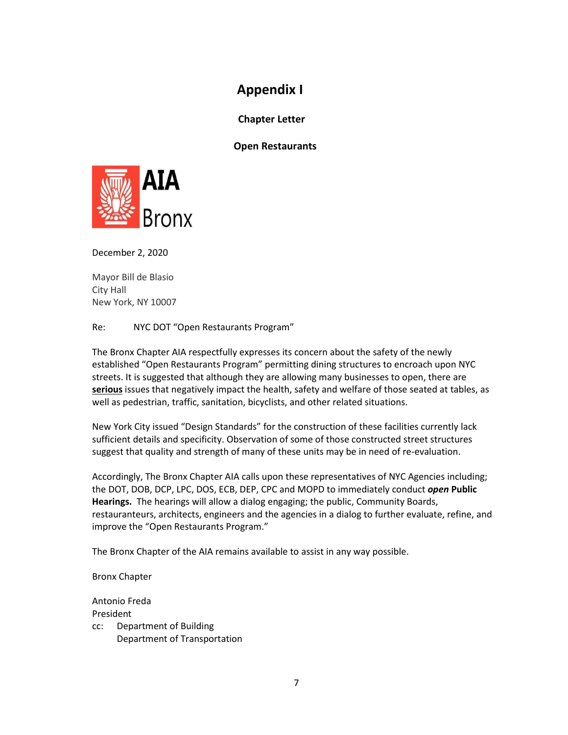## **Appendix I**

 **Chapter Letter** 

**Open Restaurants**



December 2, 2020

Mayor Bill de Blasio City Hall New York, NY 10007

Re: NYC DOT "Open Restaurants Program"

The Bronx Chapter AIA respectfully expresses its concern about the safety of the newly established "Open Restaurants Program" permitting dining structures to encroach upon NYC streets. It is suggested that although they are allowing many businesses to open, there are **serious** issues that negatively impact the health, safety and welfare of those seated at tables, as well as pedestrian, traffic, sanitation, bicyclists, and other related situations.

New York City issued "Design Standards" for the construction of these facilities currently lack sufficient details and specificity. Observation of some of those constructed street structures suggest that quality and strength of many of these units may be in need of re-evaluation.

Accordingly, The Bronx Chapter AIA calls upon these representatives of NYC Agencies including; the DOT, DOB, DCP, LPC, DOS, ECB, DEP, CPC and MOPD to immediately conduct *open* **Public Hearings.** The hearings will allow a dialog engaging; the public, Community Boards, restauranteurs, architects, engineers and the agencies in a dialog to further evaluate, refine, and improve the "Open Restaurants Program."

The Bronx Chapter of the AIA remains available to assist in any way possible.

Bronx Chapter

Antonio Freda President cc: Department of Building Department of Transportation